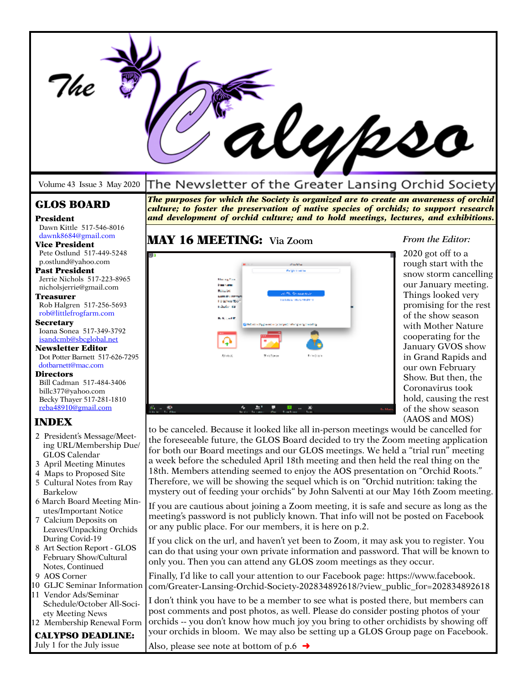| il <i>yps</i> o                                             |                                                                                                                                                                               |                                               |  |
|-------------------------------------------------------------|-------------------------------------------------------------------------------------------------------------------------------------------------------------------------------|-----------------------------------------------|--|
| Volume 43 Issue 3 May 2020                                  | The Newsletter of the Greater Lansing Orchid Society                                                                                                                          |                                               |  |
| <b>GLOS BOARD</b>                                           | The purposes for which the Society is organized are to create an awareness of orchid<br>culture; to foster the preservation of native species of orchids; to support research |                                               |  |
| President                                                   | and development of orchid culture; and to hold meetings, lectures, and exhibitions.                                                                                           |                                               |  |
| Dawn Kittle 517-546-8016<br>dawnk8684@gmail.com             | <b>MAY 16 MEETING:</b> Via Zoom                                                                                                                                               | From the Editor:                              |  |
| <b>Vice President</b><br>Pete Ostlund 517-449-5248          | 90)                                                                                                                                                                           | 2020 got off to a                             |  |
| p.ostlund@vahoo.com<br><b>Past President</b>                |                                                                                                                                                                               | rough start with the                          |  |
| Jerrie Nichols 517-223-8965                                 |                                                                                                                                                                               | snow storm cancelling<br>our January meeting. |  |
| nicholsjerrie@gmail.com<br>Treasurer                        | <b>CALL AND ACCOUNT APPROX</b>                                                                                                                                                | Things looked very                            |  |
| Rob Halgren 517-256-5693<br>rob@littlefrogfarm.com          |                                                                                                                                                                               | promising for the rest                        |  |
| <b>Secretary</b>                                            | م است کا با<br><b>Question with presence to between the capacity head of</b>                                                                                                  | of the show season<br>with Mother Nature      |  |
| Ioana Sonea 517-349-3792<br>isandcmb@sbcglobal.net          | Ф                                                                                                                                                                             | cooperating for the                           |  |
| <b>Newsletter Editor</b><br>Dot Potter Barnett 517-626-7295 | <b>AT LACK</b><br><b>Director</b>                                                                                                                                             | January GVOS show<br>in Grand Rapids and      |  |
| dotbarnett@mac.com                                          |                                                                                                                                                                               | our own February                              |  |
| <b>Directors</b><br>Bill Cadman 517-484-3406                |                                                                                                                                                                               | Show. But then, the<br>Coronavirus took       |  |
| billc377@yahoo.com<br>Becky Thayer 517-281-1810             |                                                                                                                                                                               | hold, causing the rest                        |  |
| reba48910@gmail.com                                         | $\mathbf{a}_i$ and                                                                                                                                                            | of the show season                            |  |
| <b>INDEX</b>                                                | to be canceled. Because it looked like all in-person meetings would be cancelled for                                                                                          | (AAOS and MOS)                                |  |
| 2 President's Message/Meet-<br>ing URL/Membership Due/      | the foreseeable future, the GLOS Board decided to try the Zoom meeting application                                                                                            |                                               |  |
| GLOS Calendar                                               | for both our Board meetings and our GLOS meetings. We held a "trial run" meeting<br>a week before the scheduled April 18th meeting and then held the real thing on the        |                                               |  |
| 3 April Meeting Minutes<br>4 Maps to Proposed Site          | 18th. Members attending seemed to enjoy the AOS presentation on "Orchid Roots."                                                                                               |                                               |  |
| 5 Cultural Notes from Ray                                   | Therefore, we will be showing the sequel which is on "Orchid nutrition: taking the                                                                                            |                                               |  |
| <b>Barkelow</b><br>6 March Board Meeting Min-               | mystery out of feeding your orchids" by John Salventi at our May 16th Zoom meeting.                                                                                           |                                               |  |
| utes/Important Notice<br>7 Calcium Deposits on              | If you are cautious about joining a Zoom meeting, it is safe and secure as long as the<br>meeting's password is not publicly known. That info will not be posted on Facebook  |                                               |  |
| Leaves/Unpacking Orchids                                    | or any public place. For our members, it is here on p.2.                                                                                                                      |                                               |  |
| During Covid-19<br>8 Art Section Report - GLOS              | If you click on the url, and haven't yet been to Zoom, it may ask you to register. You                                                                                        |                                               |  |
| February Show/Cultural                                      | can do that using your own private information and password. That will be known to<br>only you. Then you can attend any GLOS zoom meetings as they occur.                     |                                               |  |
| Notes, Continued<br>9 AOS Corner                            | Finally, I'd like to call your attention to our Facebook page: https://www.facebook.                                                                                          |                                               |  |
| 10 GLJC Seminar Information                                 | com/Greater-Lansing-Orchid-Society-202834892618/?view_public_for=202834892618                                                                                                 |                                               |  |
| 11 Vendor Ads/Seminar<br>Schedule/October All-Soci-         | I don't think you have to be a member to see what is posted there, but members can                                                                                            |                                               |  |
| ety Meeting News<br>12 Membership Renewal Form              | post comments and post photos, as well. Please do consider posting photos of your<br>orchids -- you don't know how much joy you bring to other orchidists by showing off      |                                               |  |
| <b>CALYPSO DEADLINE:</b>                                    | your orchids in bloom. We may also be setting up a GLOS Group page on Facebook.                                                                                               |                                               |  |
| July 1 for the July issue                                   | Also, please see note at bottom of p.6 $\rightarrow$                                                                                                                          |                                               |  |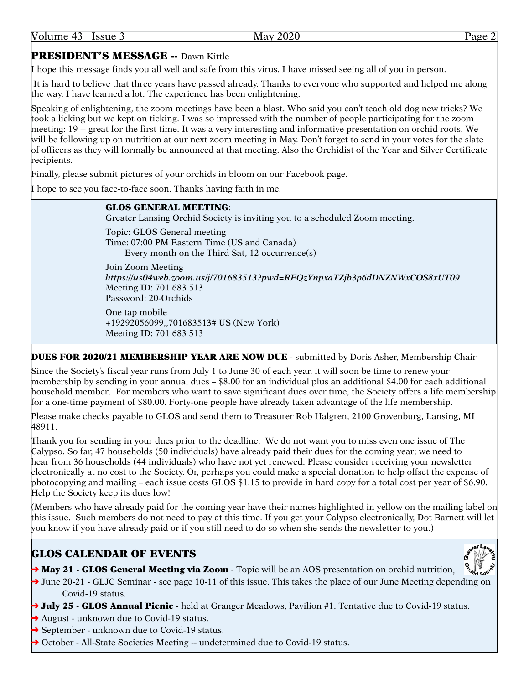|--|

# PRESIDENT'S MESSAGE -- Dawn Kittle

I hope this message finds you all well and safe from this virus. I have missed seeing all of you in person.

 It is hard to believe that three years have passed already. Thanks to everyone who supported and helped me along the way. I have learned a lot. The experience has been enlightening.

Speaking of enlightening, the zoom meetings have been a blast. Who said you can't teach old dog new tricks? We took a licking but we kept on ticking. I was so impressed with the number of people participating for the zoom meeting: 19 -- great for the first time. It was a very interesting and informative presentation on orchid roots. We will be following up on nutrition at our next zoom meeting in May. Don't forget to send in your votes for the slate of officers as they will formally be announced at that meeting. Also the Orchidist of the Year and Silver Certificate recipients.

Finally, please submit pictures of your orchids in bloom on our Facebook page.

I hope to see you face-to-face soon. Thanks having faith in me.

### GLOS GENERAL MEETING:

Greater Lansing Orchid Society is inviting you to a scheduled Zoom meeting.

Topic: GLOS General meeting Time: 07:00 PM Eastern Time (US and Canada) Every month on the Third Sat, 12 occurrence(s)

Join Zoom Meeting *<https://us04web.zoom.us/j/701683513?pwd=REQzYnpxaTZjb3p6dDNZNWxCOS8xUT09>* Meeting ID: 701 683 513 Password: 20-Orchids

One tap mobile +19292056099,,701683513# US (New York) Meeting ID: 701 683 513

DUES FOR 2020/21 MEMBERSHIP YEAR ARE NOW DUE - submitted by Doris Asher, Membership Chair

Since the Society's fiscal year runs from July 1 to June 30 of each year, it will soon be time to renew your membership by sending in your annual dues – \$8.00 for an individual plus an additional \$4.00 for each additional household member. For members who want to save significant dues over time, the Society offers a life membership for a one-time payment of \$80.00. Forty-one people have already taken advantage of the life membership.

Please make checks payable to GLOS and send them to Treasurer Rob Halgren, 2100 Grovenburg, Lansing, MI 48911.

Thank you for sending in your dues prior to the deadline. We do not want you to miss even one issue of The Calypso. So far, 47 households (50 individuals) have already paid their dues for the coming year; we need to hear from 36 households (44 individuals) who have not yet renewed. Please consider receiving your newsletter electronically at no cost to the Society. Or, perhaps you could make a special donation to help offset the expense of photocopying and mailing – each issue costs GLOS \$1.15 to provide in hard copy for a total cost per year of \$6.90. Help the Society keep its dues low!

(Members who have already paid for the coming year have their names highlighted in yellow on the mailing label on this issue. Such members do not need to pay at this time. If you get your Calypso electronically, Dot Barnett will let you know if you have already paid or if you still need to do so when she sends the newsletter to you.)

# GLOS CALENDAR OF EVENTS

- $\rightarrow$  May 21 GLOS General Meeting via Zoom Topic will be an AOS presentation on orchid nutrition,
- $\rightarrow$  June 20-21 GLJC Seminar see page 10-11 of this issue. This takes the place of our June Meeting depending on Covid-19 status.
- → July 25 GLOS Annual Picnic held at Granger Meadows, Pavilion #1. Tentative due to Covid-19 status.
- **→** August unknown due to Covid-19 status.
- **→** September unknown due to Covid-19 status.
- ◆ October All-State Societies Meeting -- undetermined due to Covid-19 status.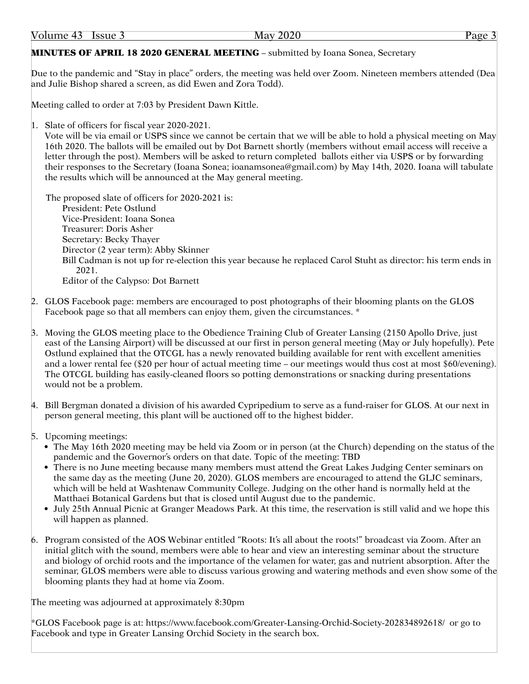# MINUTES OF APRIL 18 2020 GENERAL MEETING – submitted by Ioana Sonea, Secretary

Due to the pandemic and "Stay in place" orders, the meeting was held over Zoom. Nineteen members attended (Dea and Julie Bishop shared a screen, as did Ewen and Zora Todd).

Meeting called to order at 7:03 by President Dawn Kittle.

1. Slate of officers for fiscal year 2020-2021.

Vote will be via email or USPS since we cannot be certain that we will be able to hold a physical meeting on May 16th 2020. The ballots will be emailed out by Dot Barnett shortly (members without email access will receive a letter through the post). Members will be asked to return completed ballots either via USPS or by forwarding their responses to the Secretary (Ioana Sonea; [ioanamsonea@gmail.com\)](mailto:ioanamsonea@gmail.com) by May 14th, 2020. Ioana will tabulate the results which will be announced at the May general meeting.

The proposed slate of officers for 2020-2021 is: President: Pete Ostlund Vice-President: Ioana Sonea Treasurer: Doris Asher Secretary: Becky Thayer Director (2 year term): Abby Skinner Bill Cadman is not up for re-election this year because he replaced Carol Stuht as director: his term ends in 2021. Editor of the Calypso: Dot Barnett

- 2. GLOS Facebook page: members are encouraged to post photographs of their blooming plants on the GLOS Facebook page so that all members can enjoy them, given the circumstances. \*
- 3. Moving the GLOS meeting place to the Obedience Training Club of Greater Lansing (2150 Apollo Drive, just east of the Lansing Airport) will be discussed at our first in person general meeting (May or July hopefully). Pete Ostlund explained that the OTCGL has a newly renovated building available for rent with excellent amenities and a lower rental fee (\$20 per hour of actual meeting time – our meetings would thus cost at most \$60/evening). The OTCGL building has easily-cleaned floors so potting demonstrations or snacking during presentations would not be a problem.

4. Bill Bergman donated a division of his awarded Cypripedium to serve as a fund-raiser for GLOS. At our next in person general meeting, this plant will be auctioned off to the highest bidder.

- 5. Upcoming meetings:
	- The May 16th 2020 meeting may be held via Zoom or in person (at the Church) depending on the status of the pandemic and the Governor's orders on that date. Topic of the meeting: TBD
	- There is no June meeting because many members must attend the Great Lakes Judging Center seminars on the same day as the meeting (June 20, 2020). GLOS members are encouraged to attend the GLJC seminars, which will be held at Washtenaw Community College. Judging on the other hand is normally held at the Matthaei Botanical Gardens but that is closed until August due to the pandemic.
	- • July 25th Annual Picnic at Granger Meadows Park. At this time, the reservation is still valid and we hope this will happen as planned.
- 6. Program consisted of the AOS Webinar entitled "Roots: It's all about the roots!" broadcast via Zoom. After an initial glitch with the sound, members were able to hear and view an interesting seminar about the structure and biology of orchid roots and the importance of the velamen for water, gas and nutrient absorption. After the seminar, GLOS members were able to discuss various growing and watering methods and even show some of the blooming plants they had at home via Zoom.

The meeting was adjourned at approximately 8:30pm

\*GLOS Facebook page is at: <https://www.facebook.com/Greater>-Lansing-Orchid-Society-202834892618/ or go to Facebook and type in Greater Lansing Orchid Society in the search box.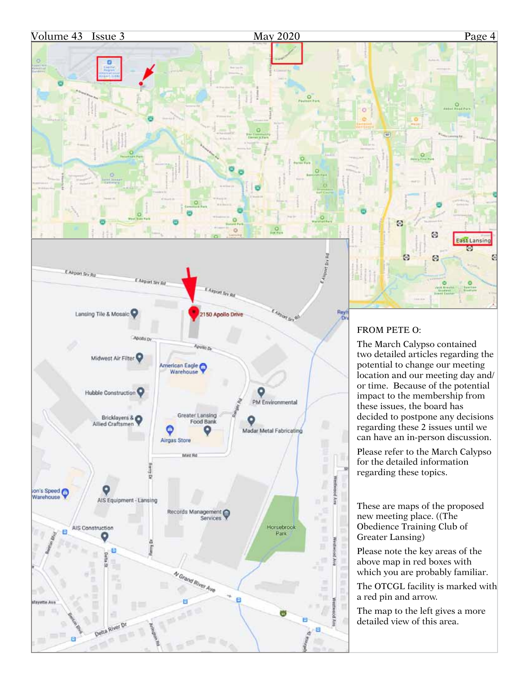

...

 $\circ$ 

ö

W

Θ

Θ

ø

 $\omega$ 

 $rac{1018}{111}$ 

East Lansing ø

G



# FROM PETE O:

The March Calypso contained two detailed articles regarding the potential to change our meeting location and our meeting day and/ or time. Because of the potential impact to the membership from these issues, the board has decided to postpone any decisions regarding these 2 issues until we can have an in-person discussion.

Please refer to the March Calypso for the detailed information regarding these topics.

These are maps of the proposed new meeting place. ((The Obedience Training Club of Greater Lansing)

Please note the key areas of the above map in red boxes with which you are probably familiar.

The OTCGL facility is marked with a red pin and arrow.

The map to the left gives a more detailed view of this area.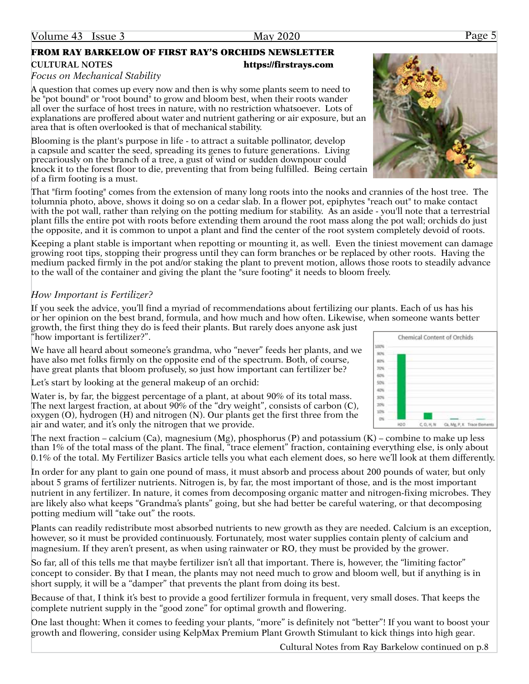# FROM RAY BARKELOW OF FIRST RAY'S ORCHIDS NEWSLETTER **CULTURAL NOTES** <https://firstrays.com>

### *Focus on Mechanical Stability*

A question that comes up every now and then is why some plants seem to need to be "pot bound" or "root bound" to grow and bloom best, when their roots wander all over the surface of host trees in nature, with no restriction whatsoever. Lots of explanations are proffered about water and nutrient gathering or air exposure, but an area that is often overlooked is that of mechanical stability.

Blooming is the plant's purpose in life - to attract a suitable pollinator, develop a capsule and scatter the seed, spreading its genes to future generations. Living precariously on the branch of a tree, a gust of wind or sudden downpour could knock it to the forest floor to die, preventing that from being fulfilled. Being certain of a firm footing is a must.

That "firm footing" comes from the extension of many long roots into the nooks and crannies of the host tree. The tolumnia photo, above, shows it doing so on a cedar slab. In a flower pot, epiphytes "reach out" to make contact with the pot wall, rather than relying on the potting medium for stability. As an aside - you'll note that a terrestrial plant fills the entire pot with roots before extending them around the root mass along the pot wall; orchids do just the opposite, and it is common to unpot a plant and find the center of the root system completely devoid of roots.

Keeping a plant stable is important when repotting or mounting it, as well. Even the tiniest movement can damage growing root tips, stopping their progress until they can form branches or be replaced by other roots. Having the medium packed firmly in the pot and/or staking the plant to prevent motion, allows those roots to steadily advance to the wall of the container and giving the plant the "sure footing" it needs to bloom freely.

# *How Important is Fertilizer?*

If you seek the advice, you'll find a myriad of recommendations about fertilizing our plants. Each of us has his or her opinion on the best brand, formula, and how much and how often. Likewise, when someone wants better

growth, the first thing they do is feed their plants. But rarely does anyone ask just "how important is fertilizer?".

We have all heard about someone's grandma, who "never" feeds her plants, and we have also met folks firmly on the opposite end of the spectrum. Both, of course, have great plants that bloom profusely, so just how important can fertilizer be?

Let's start by looking at the general makeup of an orchid:

Water is, by far, the biggest percentage of a plant, at about 90% of its total mass. The next largest fraction, at about 90% of the "dry weight", consists of carbon (C), oxygen (O), hydrogen (H) and nitrogen (N). Our plants get the first three from the air and water, and it's only the nitrogen that we provide.

The next fraction – calcium (Ca), magnesium (Mg), phosphorus (P) and potassium (K) – combine to make up less than 1% of the total mass of the plant. The final, "trace element" fraction, containing everything else, is only about 0.1% of the total. My Fertilizer Basics article tells you what each element does, so here we'll look at them differently.

In order for any plant to gain one pound of mass, it must absorb and process about 200 pounds of water, but only about 5 grams of fertilizer nutrients. Nitrogen is, by far, the most important of those, and is the most important nutrient in any fertilizer. In nature, it comes from decomposing organic matter and nitrogen-fixing microbes. They are likely also what keeps "Grandma's plants" going, but she had better be careful watering, or that decomposing potting medium will "take out" the roots.

Plants can readily redistribute most absorbed nutrients to new growth as they are needed. Calcium is an exception, however, so it must be provided continuously. Fortunately, most water supplies contain plenty of calcium and magnesium. If they aren't present, as when using rainwater or RO, they must be provided by the grower.

So far, all of this tells me that maybe fertilizer isn't all that important. There is, however, the "limiting factor" concept to consider. By that I mean, the plants may not need much to grow and bloom well, but if anything is in short supply, it will be a "damper" that prevents the plant from doing its best.

Because of that, I think it's best to provide a good fertilizer formula in frequent, very small doses. That keeps the complete nutrient supply in the "good zone" for optimal growth and flowering.

One last thought: When it comes to feeding your plants, "more" is definitely not "better"! If you want to boost your growth and flowering, consider using KelpMax Premium Plant Growth Stimulant to kick things into high gear.

Cultural Notes from Ray Barkelow continued on p.8



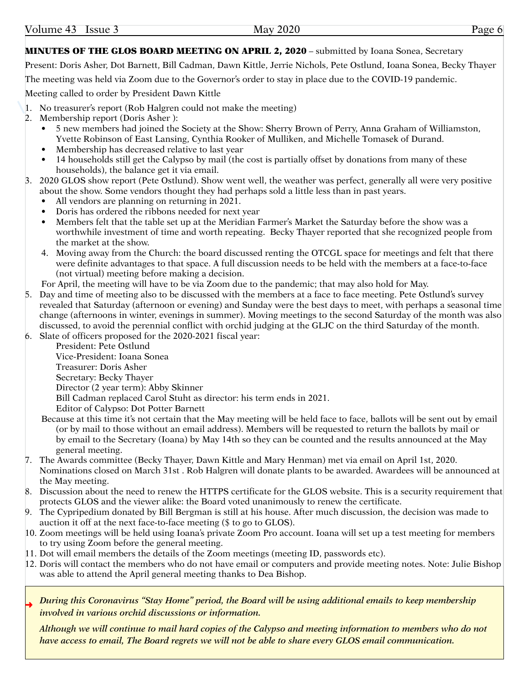### MINUTES OF THE GLOS BOARD MEETING ON APRIL 2, 2020 – submitted by Ioana Sonea, Secretary

Present: Doris Asher, Dot Barnett, Bill Cadman, Dawn Kittle, Jerrie Nichols, Pete Ostlund, Ioana Sonea, Becky Thayer

The meeting was held via Zoom due to the Governor's order to stay in place due to the COVID-19 pandemic.

Meeting called to order by President Dawn Kittle

- 1. No treasurer's report (Rob Halgren could not make the meeting)
- 2. Membership report (Doris Asher ):
	- • 5 new members had joined the Society at the Show: Sherry Brown of Perry, Anna Graham of Williamston, Yvette Robinson of East Lansing, Cynthia Rooker of Mulliken, and Michelle Tomasek of Durand.
	- Membership has decreased relative to last year
	- 14 households still get the Calypso by mail (the cost is partially offset by donations from many of these households), the balance get it via email.
- 3. 2020 GLOS show report (Pete Ostlund). Show went well, the weather was perfect, generally all were very positive about the show. Some vendors thought they had perhaps sold a little less than in past years.
	- All vendors are planning on returning in 2021.
	- Doris has ordered the ribbons needed for next year
	- Members felt that the table set up at the Meridian Farmer's Market the Saturday before the show was a worthwhile investment of time and worth repeating. Becky Thayer reported that she recognized people from the market at the show.
	- 4. Moving away from the Church: the board discussed renting the OTCGL space for meetings and felt that there were definite advantages to that space. A full discussion needs to be held with the members at a face-to-face (not virtual) meeting before making a decision.
	- For April, the meeting will have to be via Zoom due to the pandemic; that may also hold for May.
- 5. Day and time of meeting also to be discussed with the members at a face to face meeting. Pete Ostlund's survey revealed that Saturday (afternoon or evening) and Sunday were the best days to meet, with perhaps a seasonal time change (afternoons in winter, evenings in summer). Moving meetings to the second Saturday of the month was also discussed, to avoid the perennial conflict with orchid judging at the GLJC on the third Saturday of the month.
- 6. Slate of officers proposed for the 2020-2021 fiscal year:

President: Pete Ostlund Vice-President: Ioana Sonea Treasurer: Doris Asher Secretary: Becky Thayer Director (2 year term): Abby Skinner Bill Cadman replaced Carol Stuht as director: his term ends in 2021. Editor of Calypso: Dot Potter Barnett

- Because at this time it's not certain that the May meeting will be held face to face, ballots will be sent out by email (or by mail to those without an email address). Members will be requested to return the ballots by mail or by email to the Secretary (Ioana) by May 14th so they can be counted and the results announced at the May general meeting.
- 7. The Awards committee (Becky Thayer, Dawn Kittle and Mary Henman) met via email on April 1st, 2020. Nominations closed on March 31st . Rob Halgren will donate plants to be awarded. Awardees will be announced at the May meeting.
- 8. Discussion about the need to renew the HTTPS certificate for the GLOS website. This is a security requirement that protects GLOS and the viewer alike: the Board voted unanimously to renew the certificate.
- 9. The Cypripedium donated by Bill Bergman is still at his house. After much discussion, the decision was made to auction it off at the next face-to-face meeting (\$ to go to GLOS).
- 10. Zoom meetings will be held using Ioana's private Zoom Pro account. Ioana will set up a test meeting for members to try using Zoom before the general meeting.
- 11. Dot will email members the details of the Zoom meetings (meeting ID, passwords etc).
- 12. Doris will contact the members who do not have email or computers and provide meeting notes. Note: Julie Bishop was able to attend the April general meeting thanks to Dea Bishop.
- ➜ *During this Coronavirus "Stay Home" period, the Board will be using additional emails to keep membership involved in various orchid discussions or information.*

*Although we will continue to mail hard copies of the Calypso and meeting information to members who do not have access to email, The Board regrets we will not be able to share every GLOS email communication.*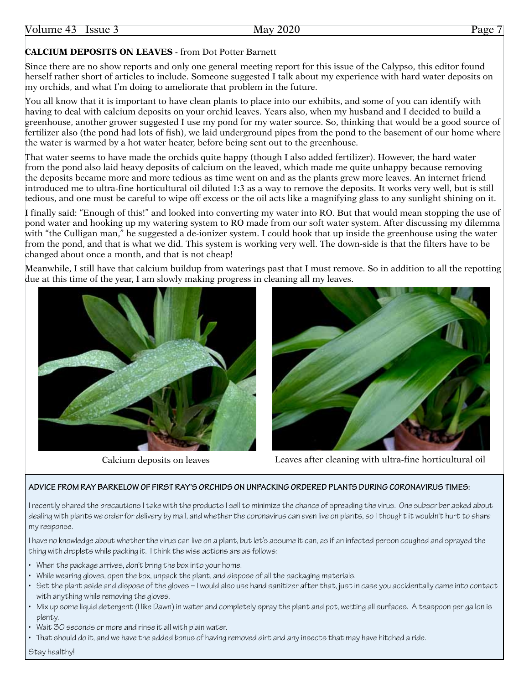# **CALCIUM DEPOSITS ON LEAVES** - from Dot Potter Barnett

Since there are no show reports and only one general meeting report for this issue of the Calypso, this editor found herself rather short of articles to include. Someone suggested I talk about my experience with hard water deposits on my orchids, and what I'm doing to ameliorate that problem in the future.

You all know that it is important to have clean plants to place into our exhibits, and some of you can identify with having to deal with calcium deposits on your orchid leaves. Years also, when my husband and I decided to build a greenhouse, another grower suggested I use my pond for my water source. So, thinking that would be a good source of fertilizer also (the pond had lots of fish), we laid underground pipes from the pond to the basement of our home where the water is warmed by a hot water heater, before being sent out to the greenhouse.

That water seems to have made the orchids quite happy (though I also added fertilizer). However, the hard water from the pond also laid heavy deposits of calcium on the leaved, which made me quite unhappy because removing the deposits became more and more tedious as time went on and as the plants grew more leaves. An internet friend introduced me to ultra-fine horticultural oil diluted 1:3 as a way to remove the deposits. It works very well, but is still tedious, and one must be careful to wipe off excess or the oil acts like a magnifying glass to any sunlight shining on it.

I finally said: "Enough of this!" and looked into converting my water into RO. But that would mean stopping the use of pond water and hooking up my watering system to RO made from our soft water system. After discussing my dilemma with "the Culligan man," he suggested a de-ionizer system. I could hook that up inside the greenhouse using the water from the pond, and that is what we did. This system is working very well. The down-side is that the filters have to be changed about once a month, and that is not cheap!

Meanwhile, I still have that calcium buildup from waterings past that I must remove. So in addition to all the repotting due at this time of the year, I am slowly making progress in cleaning all my leaves.





Calcium deposits on leaves Leaves after cleaning with ultra-fine horticultural oil

### **ADVICE FROM RAY BARKELOW OF FIRST RAY'S ORCHIDS ON UNPACKING ORDERED PLANTS DURING CORONAVIRUS TIMES:**

I recently shared the precautions I take with the products I sell to minimize the chance of spreading the virus. One subscriber asked about dealing with plants we order for delivery by mail, and whether the coronavirus can even live on plants, so I thought it wouldn't hurt to share my response.

I have no knowledge about whether the virus can live on a plant, but let's assume it can, as if an infected person coughed and sprayed the thing with droplets while packing it. I think the wise actions are as follows:

- When the package arrives, don't bring the box into your home.
- While wearing gloves, open the box, unpack the plant, and dispose of all the packaging materials.
- • Set the plant aside and dispose of the gloves I would also use hand sanitizer after that, just in case you accidentally came into contact with anything while removing the gloves.
- • Mix up some liquid detergent (I like Dawn) in water and completely spray the plant and pot, wetting all surfaces. A teaspoon per gallon is plenty.
- Wait 30 seconds or more and rinse it all with plain water.
- That should do it, and we have the added bonus of having removed dirt and any insects that may have hitched a ride.

Stay healthy!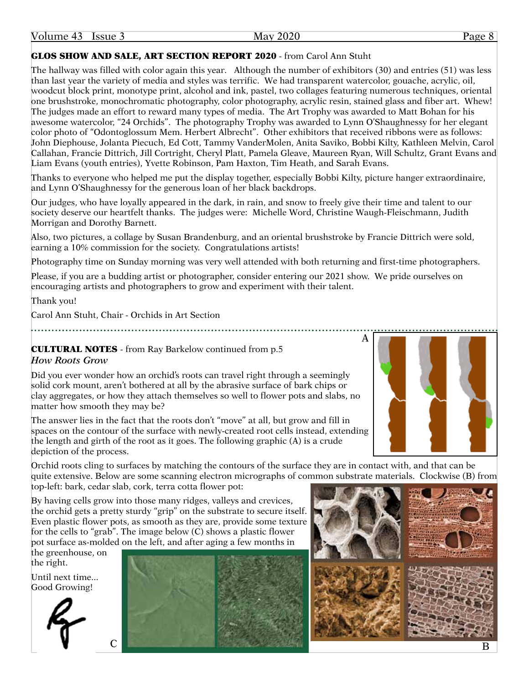Volume 43 Issue 3 May 2020 Page 8

# GLOS SHOW AND SALE, ART SECTION REPORT 2020 - from Carol Ann Stuht

The hallway was filled with color again this year. Although the number of exhibitors (30) and entries (51) was less than last year the variety of media and styles was terrific. We had transparent watercolor, gouache, acrylic, oil, woodcut block print, monotype print, alcohol and ink, pastel, two collages featuring numerous techniques, oriental one brushstroke, monochromatic photography, color photography, acrylic resin, stained glass and fiber art. Whew! The judges made an effort to reward many types of media. The Art Trophy was awarded to Matt Bohan for his awesome watercolor, "24 Orchids". The photography Trophy was awarded to Lynn O'Shaughnessy for her elegant color photo of "Odontoglossum Mem. Herbert Albrecht". Other exhibitors that received ribbons were as follows: John Diephouse, Jolanta Piecuch, Ed Cott, Tammy VanderMolen, Anita Saviko, Bobbi Kilty, Kathleen Melvin, Carol Callahan, Francie Dittrich, Jill Cortright, Cheryl Platt, Pamela Gleave, Maureen Ryan, Will Schultz, Grant Evans and Liam Evans (youth entries), Yvette Robinson, Pam Haxton, Tim Heath, and Sarah Evans.

Thanks to everyone who helped me put the display together, especially Bobbi Kilty, picture hanger extraordinaire, and Lynn O'Shaughnessy for the generous loan of her black backdrops.

Our judges, who have loyally appeared in the dark, in rain, and snow to freely give their time and talent to our society deserve our heartfelt thanks. The judges were: Michelle Word, Christine Waugh-Fleischmann, Judith Morrigan and Dorothy Barnett.

Also, two pictures, a collage by Susan Brandenburg, and an oriental brushstroke by Francie Dittrich were sold, earning a 10% commission for the society. Congratulations artists!

Photography time on Sunday morning was very well attended with both returning and first-time photographers.

Please, if you are a budding artist or photographer, consider entering our 2021 show. We pride ourselves on encouraging artists and photographers to grow and experiment with their talent.

Thank you!

Carol Ann Stuht, Chair - Orchids in Art Section

CULTURAL NOTES - from Ray Barkelow continued from p.5 *How Roots Grow*

Did you ever wonder how an orchid's roots can travel right through a seemingly solid cork mount, aren't bothered at all by the abrasive surface of bark chips or clay aggregates, or how they attach themselves so well to flower pots and slabs, no matter how smooth they may be?

The answer lies in the fact that the roots don't "move" at all, but grow and fill in spaces on the contour of the surface with newly-created root cells instead, extending the length and girth of the root as it goes. The following graphic (A) is a crude depiction of the process.

Orchid roots cling to surfaces by matching the contours of the surface they are in contact with, and that can be quite extensive. Below are some scanning electron micrographs of common substrate materials. Clockwise (B) from top-left: bark, cedar slab, cork, terra cotta flower pot:

By having cells grow into those many ridges, valleys and crevices, the orchid gets a pretty sturdy "grip" on the substrate to secure itself. Even plastic flower pots, as smooth as they are, provide some texture for the cells to "grab". The image below (C) shows a plastic flower pot surface as-molded on the left, and after aging a few months in

the greenhouse, on the right.

Until next time... Good Growing!







A

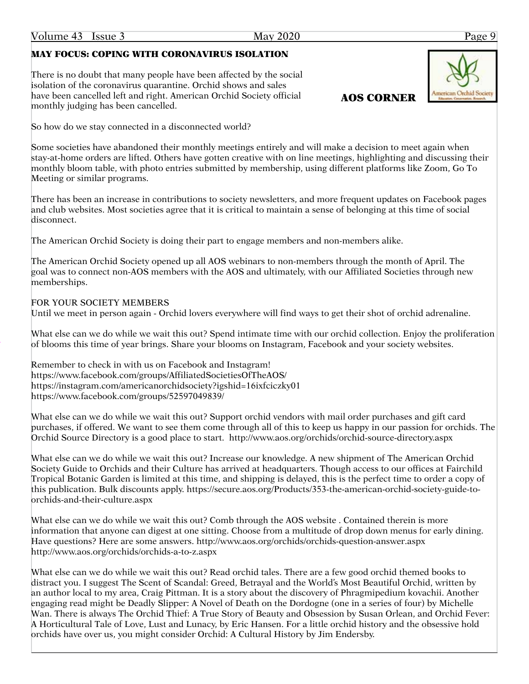# MAY FOCUS: COPING WITH CORONAVIRUS ISOLATION

There is no doubt that many people have been affected by the social isolation of the coronavirus quarantine. Orchid shows and sales have been cancelled left and right. American Orchid Society official monthly judging has been cancelled.

So how do we stay connected in a disconnected world?

Some societies have abandoned their monthly meetings entirely and will make a decision to meet again when stay-at-home orders are lifted. Others have gotten creative with on line meetings, highlighting and discussing their monthly bloom table, with photo entries submitted by membership, using different platforms like Zoom, Go To Meeting or similar programs.

There has been an increase in contributions to society newsletters, and more frequent updates on Facebook pages and club websites. Most societies agree that it is critical to maintain a sense of belonging at this time of social disconnect.

The American Orchid Society is doing their part to engage members and non-members alike.

The American Orchid Society opened up all AOS webinars to non-members through the month of April. The goal was to connect non-AOS members with the AOS and ultimately, with our Affiliated Societies through new memberships.

# FOR YOUR SOCIETY MEMBERS

Until we meet in person again - Orchid lovers everywhere will find ways to get their shot of orchid adrenaline.

What else can we do while we wait this out? Spend intimate time with our orchid collection. Enjoy the proliferation of blooms this time of year brings. Share your blooms on Instagram, Facebook and your society websites.

Remember to check in with us on Facebook and Instagram! <https://www.facebook.com/groups/AffiliatedSocietiesOfTheAOS>/ <https://instagram.com/americanorchidsociety?igshid=16ixfciczky01> [https://www.facebook.com/groups/52597049839/](https://www.facebook.com/groups/52597049839)

What else can we do while we wait this out? Support orchid vendors with mail order purchases and gift card purchases, if offered. We want to see them come through all of this to keep us happy in our passion for orchids. The Orchid Source Directory is a good place to start. <http://www.aos.org/orchids/orchid-source-directory.aspx>

What else can we do while we wait this out? Increase our knowledge. A new shipment of The American Orchid Society Guide to Orchids and their Culture has arrived at headquarters. Though access to our offices at Fairchild Tropical Botanic Garden is limited at this time, and shipping is delayed, this is the perfect time to order a copy of this publication. Bulk discounts apply. [https://secure.aos.org/Products/353-the-american-orchid-society-guide-to](https://secure.aos.org/Products/353-the-american-orchid-society-guide-to-orchids-and-their-culture.aspx)[orchids-and-their-culture.aspx](https://secure.aos.org/Products/353-the-american-orchid-society-guide-to-orchids-and-their-culture.aspx)

What else can we do while we wait this out? Comb through the AOS website . Contained therein is more information that anyone can digest at one sitting. Choose from a multitude of drop down menus for early dining. Have questions? Here are some answers.<http://www.aos.org/orchids/orchids-question-answer.aspx> <http://www.aos.org/orchids/orchids-a-to-z.aspx>

What else can we do while we wait this out? Read orchid tales. There are a few good orchid themed books to distract you. I suggest The Scent of Scandal: Greed, Betrayal and the World's Most Beautiful Orchid, written by an author local to my area, Craig Pittman. It is a story about the discovery of Phragmipedium kovachii. Another engaging read might be Deadly Slipper: A Novel of Death on the Dordogne (one in a series of four) by Michelle Wan. There is always The Orchid Thief: A True Story of Beauty and Obsession by Susan Orlean, and Orchid Fever: A Horticultural Tale of Love, Lust and Lunacy, by Eric Hansen. For a little orchid history and the obsessive hold orchids have over us, you might consider Orchid: A Cultural History by Jim Endersby.



AOS CORNER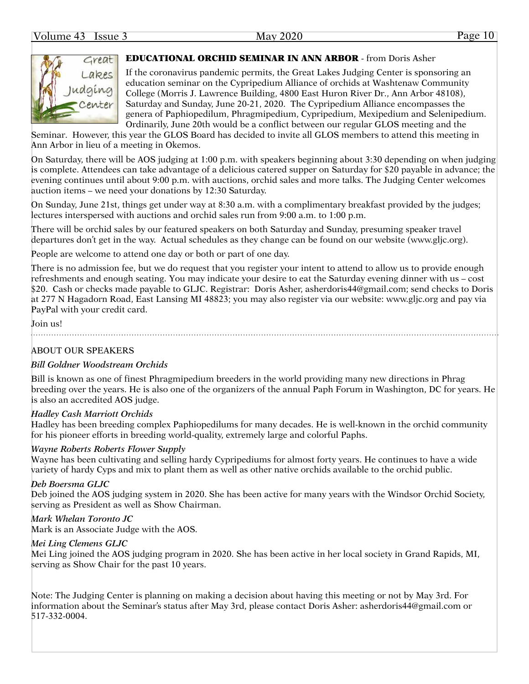### Volume 43 Issue 3 May 2020 Page 10



### EDUCATIONAL ORCHID SEMINAR IN ANN ARBOR - from Doris Asher

If the coronavirus pandemic permits, the Great Lakes Judging Center is sponsoring an education seminar on the Cypripedium Alliance of orchids at Washtenaw Community College (Morris J. Lawrence Building, 4800 East Huron River Dr., Ann Arbor 48108), Saturday and Sunday, June 20-21, 2020. The Cypripedium Alliance encompasses the genera of Paphiopedilum, Phragmipedium, Cypripedium, Mexipedium and Selenipedium. Ordinarily, June 20th would be a conflict between our regular GLOS meeting and the

Seminar. However, this year the GLOS Board has decided to invite all GLOS members to attend this meeting in Ann Arbor in lieu of a meeting in Okemos.

On Saturday, there will be AOS judging at 1:00 p.m. with speakers beginning about 3:30 depending on when judging is complete. Attendees can take advantage of a delicious catered supper on Saturday for \$20 payable in advance; the evening continues until about 9:00 p.m. with auctions, orchid sales and more talks. The Judging Center welcomes auction items – we need your donations by 12:30 Saturday.

On Sunday, June 21st, things get under way at 8:30 a.m. with a complimentary breakfast provided by the judges; lectures interspersed with auctions and orchid sales run from 9:00 a.m. to 1:00 p.m.

There will be orchid sales by our featured speakers on both Saturday and Sunday, presuming speaker travel departures don't get in the way. Actual schedules as they change can be found on our website [\(www.gljc.org\)](www.gljc.org).

People are welcome to attend one day or both or part of one day.

There is no admission fee, but we do request that you register your intent to attend to allow us to provide enough refreshments and enough seating. You may indicate your desire to eat the Saturday evening dinner with us – cost \$20. Cash or checks made payable to GLJC. Registrar: Doris Asher, [asherdoris44@gmail.com](mailto:asherdoris44@gmail.com); send checks to Doris at 277 N Hagadorn Road, East Lansing MI 48823; you may also register via our website:<www.gljc.org> and pay via PayPal with your credit card.

Join us!

### ABOUT OUR SPEAKERS

### *Bill Goldner Woodstream Orchids*

Bill is known as one of finest Phragmipedium breeders in the world providing many new directions in Phrag breeding over the years. He is also one of the organizers of the annual Paph Forum in Washington, DC for years. He is also an accredited AOS judge.

### *Hadley Cash Marriott Orchids*

Hadley has been breeding complex Paphiopedilums for many decades. He is well-known in the orchid community for his pioneer efforts in breeding world-quality, extremely large and colorful Paphs.

### *Wayne Roberts Roberts Flower Supply*

Wayne has been cultivating and selling hardy Cypripediums for almost forty years. He continues to have a wide variety of hardy Cyps and mix to plant them as well as other native orchids available to the orchid public.

### *Deb Boersma GLJC*

Deb joined the AOS judging system in 2020. She has been active for many years with the Windsor Orchid Society, serving as President as well as Show Chairman.

### *Mark Whelan Toronto JC*

Mark is an Associate Judge with the AOS.

### *Mei Ling Clemens GLJC*

Mei Ling joined the AOS judging program in 2020. She has been active in her local society in Grand Rapids, MI, serving as Show Chair for the past 10 years.

Note: The Judging Center is planning on making a decision about having this meeting or not by May 3rd. For information about the Seminar's status after May 3rd, please contact Doris Asher: [asherdoris44@gmail.com](mailto:asherdoris44@gmail.com) or 517-332-0004.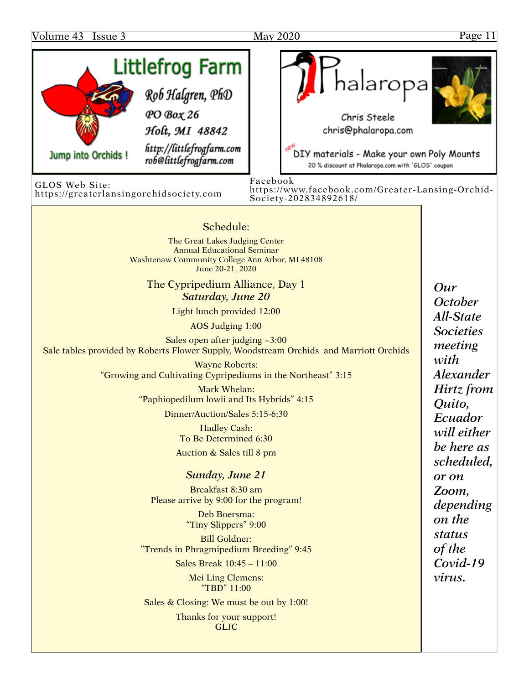